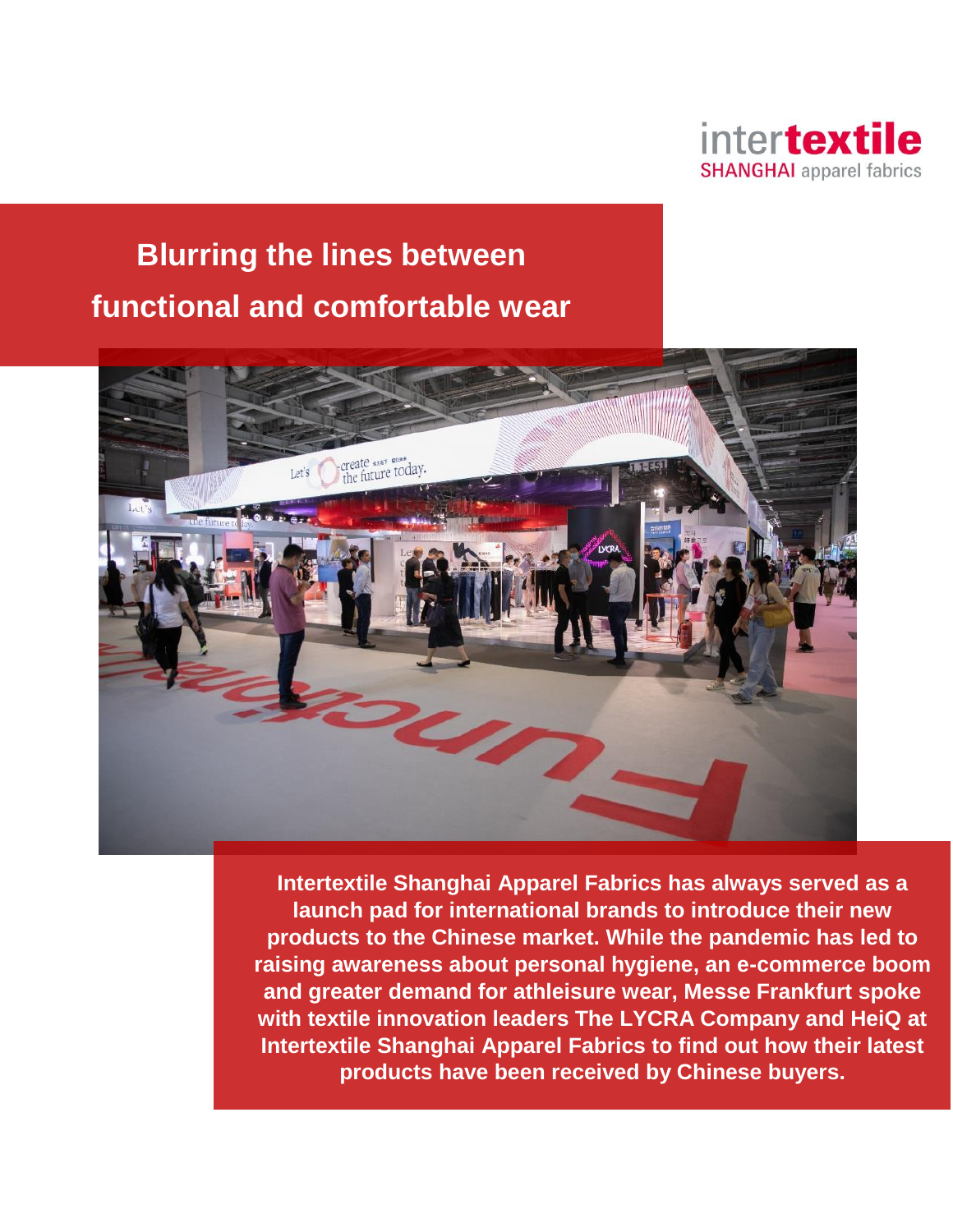

# **Blurring the lines between functional and comfortable wear**



**Intertextile Shanghai Apparel Fabrics has always served as a launch pad for international brands to introduce their new products to the Chinese market. While the pandemic has led to raising awareness about personal hygiene, an e-commerce boom and greater demand for athleisure wear, Messe Frankfurt spoke with textile innovation leaders The LYCRA Company and HeiQ at Intertextile Shanghai Apparel Fabrics to find out how their latest products have been received by Chinese buyers.**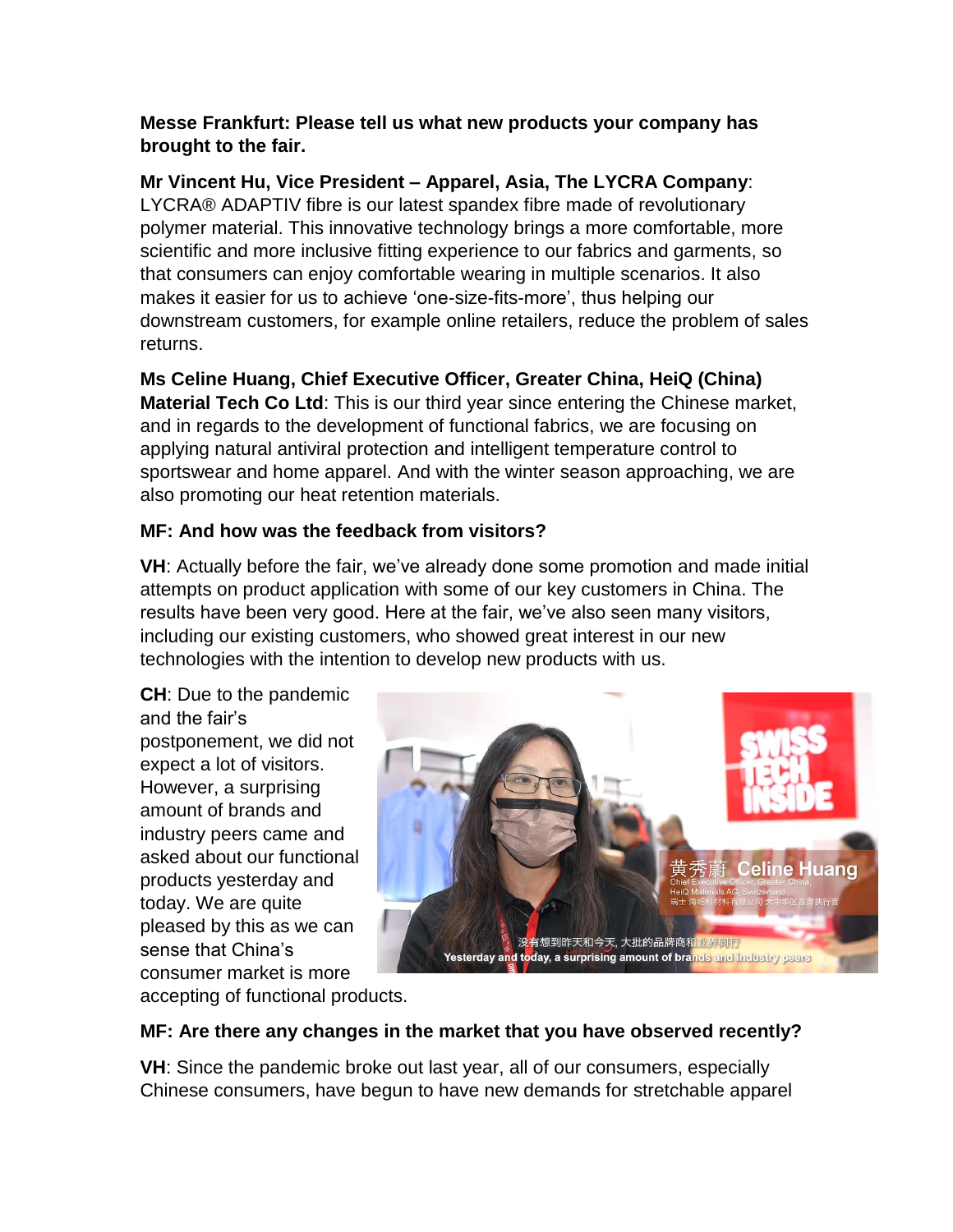### **Messe Frankfurt: Please tell us what new products your company has brought to the fair.**

### **Mr Vincent Hu, Vice President – Apparel, Asia, The LYCRA Company**:

LYCRA® ADAPTIV fibre is our latest spandex fibre made of revolutionary polymer material. This innovative technology brings a more comfortable, more scientific and more inclusive fitting experience to our fabrics and garments, so that consumers can enjoy comfortable wearing in multiple scenarios. It also makes it easier for us to achieve 'one-size-fits-more', thus helping our downstream customers, for example online retailers, reduce the problem of sales returns.

## **Ms Celine Huang, Chief Executive Officer, Greater China, HeiQ (China)**

**Material Tech Co Ltd**: This is our third year since entering the Chinese market, and in regards to the development of functional fabrics, we are focusing on applying natural antiviral protection and intelligent temperature control to sportswear and home apparel. And with the winter season approaching, we are also promoting our heat retention materials.

### **MF: And how was the feedback from visitors?**

**VH**: Actually before the fair, we've already done some promotion and made initial attempts on product application with some of our key customers in China. The results have been very good. Here at the fair, we've also seen many visitors, including our existing customers, who showed great interest in our new technologies with the intention to develop new products with us.

**CH**: Due to the pandemic and the fair's postponement, we did not expect a lot of visitors. However, a surprising amount of brands and industry peers came and asked about our functional products yesterday and today. We are quite pleased by this as we can sense that China's consumer market is more



accepting of functional products.

### **MF: Are there any changes in the market that you have observed recently?**

**VH**: Since the pandemic broke out last year, all of our consumers, especially Chinese consumers, have begun to have new demands for stretchable apparel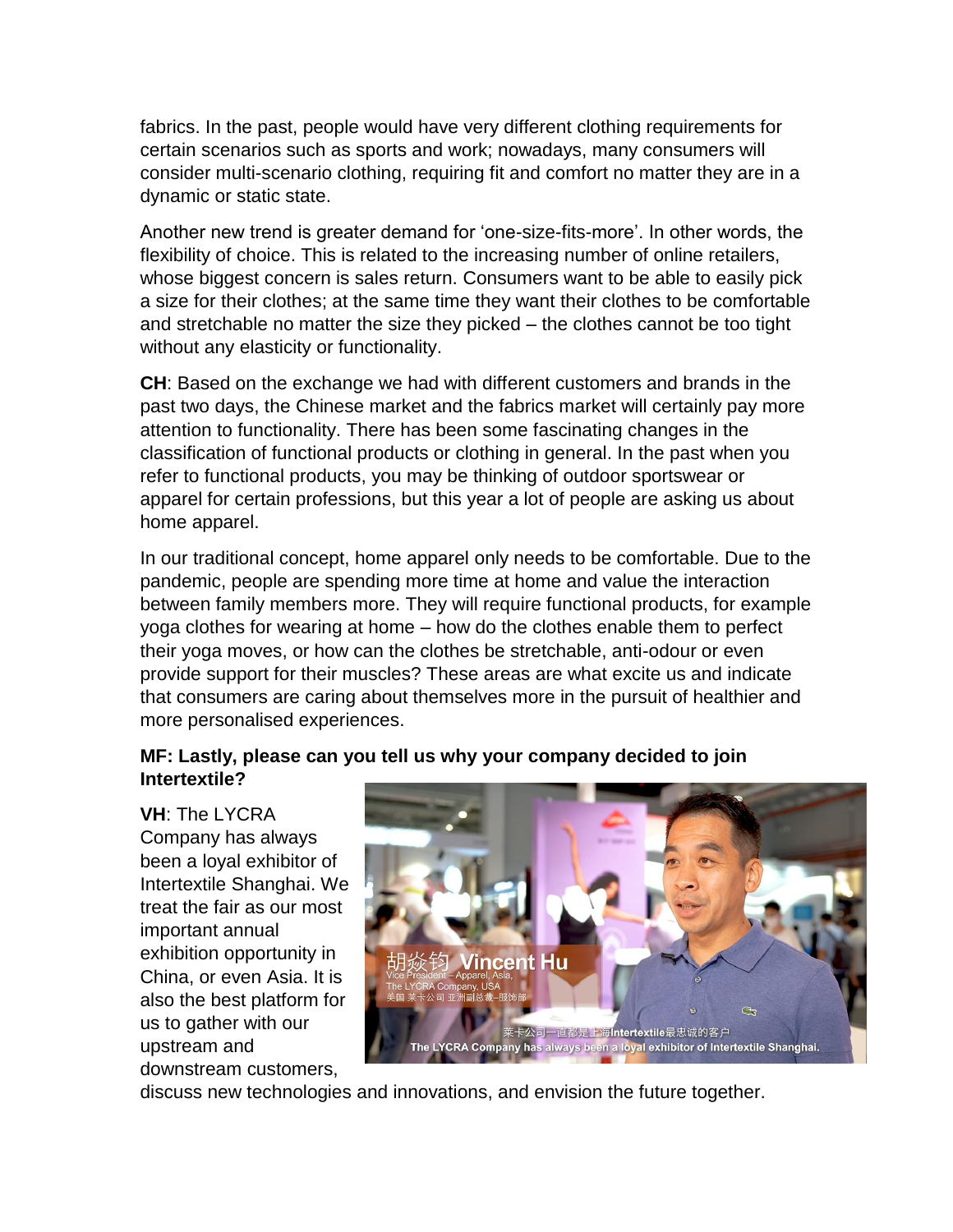fabrics. In the past, people would have very different clothing requirements for certain scenarios such as sports and work; nowadays, many consumers will consider multi-scenario clothing, requiring fit and comfort no matter they are in a dynamic or static state.

Another new trend is greater demand for 'one-size-fits-more'. In other words, the flexibility of choice. This is related to the increasing number of online retailers, whose biggest concern is sales return. Consumers want to be able to easily pick a size for their clothes; at the same time they want their clothes to be comfortable and stretchable no matter the size they picked – the clothes cannot be too tight without any elasticity or functionality.

**CH**: Based on the exchange we had with different customers and brands in the past two days, the Chinese market and the fabrics market will certainly pay more attention to functionality. There has been some fascinating changes in the classification of functional products or clothing in general. In the past when you refer to functional products, you may be thinking of outdoor sportswear or apparel for certain professions, but this year a lot of people are asking us about home apparel.

In our traditional concept, home apparel only needs to be comfortable. Due to the pandemic, people are spending more time at home and value the interaction between family members more. They will require functional products, for example yoga clothes for wearing at home – how do the clothes enable them to perfect their yoga moves, or how can the clothes be stretchable, anti-odour or even provide support for their muscles? These areas are what excite us and indicate that consumers are caring about themselves more in the pursuit of healthier and more personalised experiences.

#### **MF: Lastly, please can you tell us why your company decided to join Intertextile?**

**VH**: The LYCRA Company has always been a loyal exhibitor of Intertextile Shanghai. We treat the fair as our most important annual exhibition opportunity in China, or even Asia. It is also the best platform for us to gather with our upstream and downstream customers,



discuss new technologies and innovations, and envision the future together.